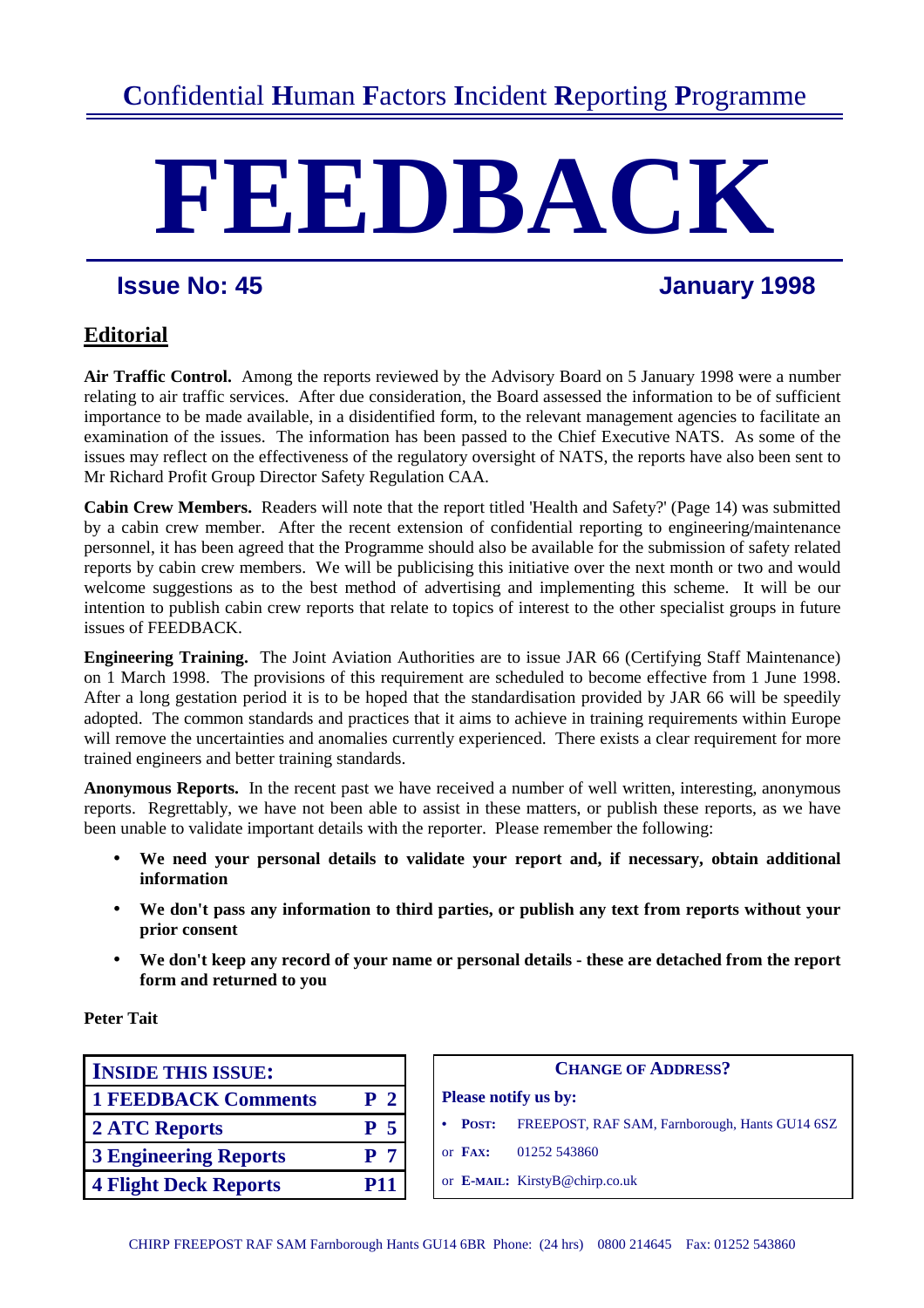# **FEEDBACK**

# **Issue No: 45 January 1998**

# **Editorial**

**Air Traffic Control.** Among the reports reviewed by the Advisory Board on 5 January 1998 were a number relating to air traffic services. After due consideration, the Board assessed the information to be of sufficient importance to be made available, in a disidentified form, to the relevant management agencies to facilitate an examination of the issues. The information has been passed to the Chief Executive NATS. As some of the issues may reflect on the effectiveness of the regulatory oversight of NATS, the reports have also been sent to Mr Richard Profit Group Director Safety Regulation CAA.

**Cabin Crew Members.** Readers will note that the report titled 'Health and Safety?' (Page 14) was submitted by a cabin crew member. After the recent extension of confidential reporting to engineering/maintenance personnel, it has been agreed that the Programme should also be available for the submission of safety related reports by cabin crew members. We will be publicising this initiative over the next month or two and would welcome suggestions as to the best method of advertising and implementing this scheme. It will be our intention to publish cabin crew reports that relate to topics of interest to the other specialist groups in future issues of FEEDBACK.

**Engineering Training.** The Joint Aviation Authorities are to issue JAR 66 (Certifying Staff Maintenance) on 1 March 1998. The provisions of this requirement are scheduled to become effective from 1 June 1998. After a long gestation period it is to be hoped that the standardisation provided by JAR 66 will be speedily adopted. The common standards and practices that it aims to achieve in training requirements within Europe will remove the uncertainties and anomalies currently experienced. There exists a clear requirement for more trained engineers and better training standards.

**Anonymous Reports.** In the recent past we have received a number of well written, interesting, anonymous reports. Regrettably, we have not been able to assist in these matters, or publish these reports, as we have been unable to validate important details with the reporter. Please remember the following:

- **We need your personal details to validate your report and, if necessary, obtain additional information**
- **We don't pass any information to third parties, or publish any text from reports without your prior consent**
- **We don't keep any record of your name or personal details these are detached from the report form and returned to you**

**Peter Tait** 

| <b>INSIDE THIS ISSUE:</b>    |                |                             | <b>CHANGE OI</b>                      |  |
|------------------------------|----------------|-----------------------------|---------------------------------------|--|
| <b>1 FEEDBACK Comments</b>   | P <sub>2</sub> | <b>Please notify us by:</b> |                                       |  |
| 2 ATC Reports                | P <sub>5</sub> | <b>POST:</b>                | <b>FREEPOST, RAF SA</b>               |  |
| <b>3 Engineering Reports</b> | P <sub>7</sub> | or $\mathbf{FAY:}$          | 01252 543860                          |  |
| <b>4 Flight Deck Reports</b> | <b>P11</b>     |                             | or <b>E-MAIL:</b> KirstyB@chirp.co.uk |  |

| <b>INSIDE THIS ISSUE:</b>    |                | <b>CHANGE OF ADDRESS?</b> |              |                                                |
|------------------------------|----------------|---------------------------|--------------|------------------------------------------------|
| <b>1 FEEDBACK Comments</b>   | P <sub>2</sub> |                           |              | <b>Please notify us by:</b>                    |
| <b>2 ATC Reports</b>         | P <sub>5</sub> |                           | <b>POST:</b> | FREEPOST, RAF SAM, Farnborough, Hants GU14 6SZ |
| <b>3 Engineering Reports</b> | P <sub>7</sub> |                           | or FAX:      | 01252 543860                                   |
| <b>4 Flight Deck Reports</b> | <b>P11</b>     |                           |              | or <b>E-MAIL:</b> KirstyB@chirp.co.uk          |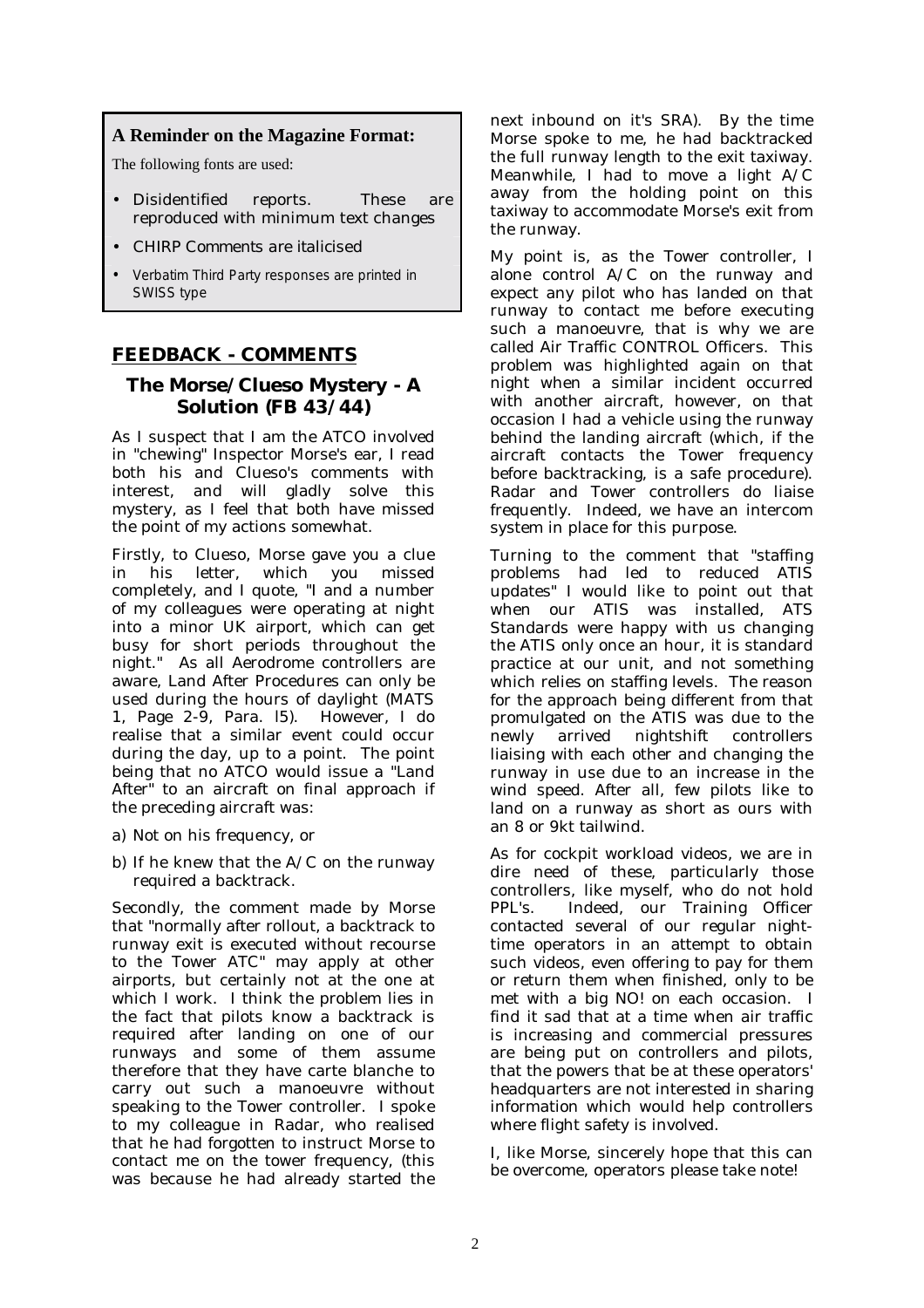# **A Reminder on the Magazine Format:**

The following fonts are used:

- Disidentified reports. These are reproduced with minimum text changes
- *CHIRP Comments are italicised*
- Verbatim Third Party responses are printed in SWISS type

# **FEEDBACK - COMMENTS**

# **The Morse/Clueso Mystery - A Solution (FB 43/44)**

As I suspect that I am the ATCO involved in "chewing" Inspector Morse's ear, I read both his and Clueso's comments with interest, and will gladly solve this mystery, as I feel that both have missed the point of my actions somewhat.

Firstly, to Clueso, Morse gave you a clue in his letter, which you missed completely, and I quote, "I and a number of my colleagues were operating at night into a minor UK airport, which can get busy for short periods throughout the night." As all Aerodrome controllers are aware, Land After Procedures can only be used during the hours of daylight (MATS 1, Page 2-9, Para. l5). However, I do realise that a similar event could occur during the day, up to a point. The point being that no ATCO would issue a "Land After" to an aircraft on final approach if the preceding aircraft was:

- a) Not on his frequency, or
- b) If he knew that the A/C on the runway required a backtrack.

Secondly, the comment made by Morse that "normally after rollout, a backtrack to runway exit is executed without recourse to the Tower ATC" may apply at other airports, but certainly not at the one at which I work. I think the problem lies in the fact that pilots know a backtrack is required after landing on one of our runways and some of them assume therefore that they have carte blanche to carry out such a manoeuvre without speaking to the Tower controller. I spoke to my colleague in Radar, who realised that he had forgotten to instruct Morse to contact me on the tower frequency, (this was because he had already started the

next inbound on it's SRA). By the time Morse spoke to me, he had backtracked the full runway length to the exit taxiway. Meanwhile, I had to move a light A/C away from the holding point on this taxiway to accommodate Morse's exit from the runway.

My point is, as the Tower controller, I alone control A/C on the runway and expect any pilot who has landed on that runway to contact me before executing such a manoeuvre, that is why we are called Air Traffic CONTROL Officers. This problem was highlighted again on that night when a similar incident occurred with another aircraft, however, on that occasion I had a vehicle using the runway behind the landing aircraft (which, if the aircraft contacts the Tower frequency before backtracking, is a safe procedure). Radar and Tower controllers do liaise frequently. Indeed, we have an intercom system in place for this purpose.

Turning to the comment that "staffing problems had led to reduced ATIS updates" I would like to point out that when our ATIS was installed, ATS Standards were happy with us changing the ATIS only once an hour, it is standard practice at our unit, and not something which relies on staffing levels. The reason for the approach being different from that promulgated on the ATIS was due to the newly arrived nightshift controllers liaising with each other and changing the runway in use due to an increase in the wind speed. After all, few pilots like to land on a runway as short as ours with an 8 or 9kt tailwind.

As for cockpit workload videos, we are in dire need of these, particularly those controllers, like myself, who do not hold PPL's. Indeed, our Training Officer contacted several of our regular nighttime operators in an attempt to obtain such videos, even offering to pay for them or return them when finished, only to be met with a big NO! on each occasion. I find it sad that at a time when air traffic is increasing and commercial pressures are being put on controllers and pilots, that the powers that be at these operators' headquarters are not interested in sharing information which would help controllers where flight safety is involved.

I, like Morse, sincerely hope that this can be overcome, operators please take note!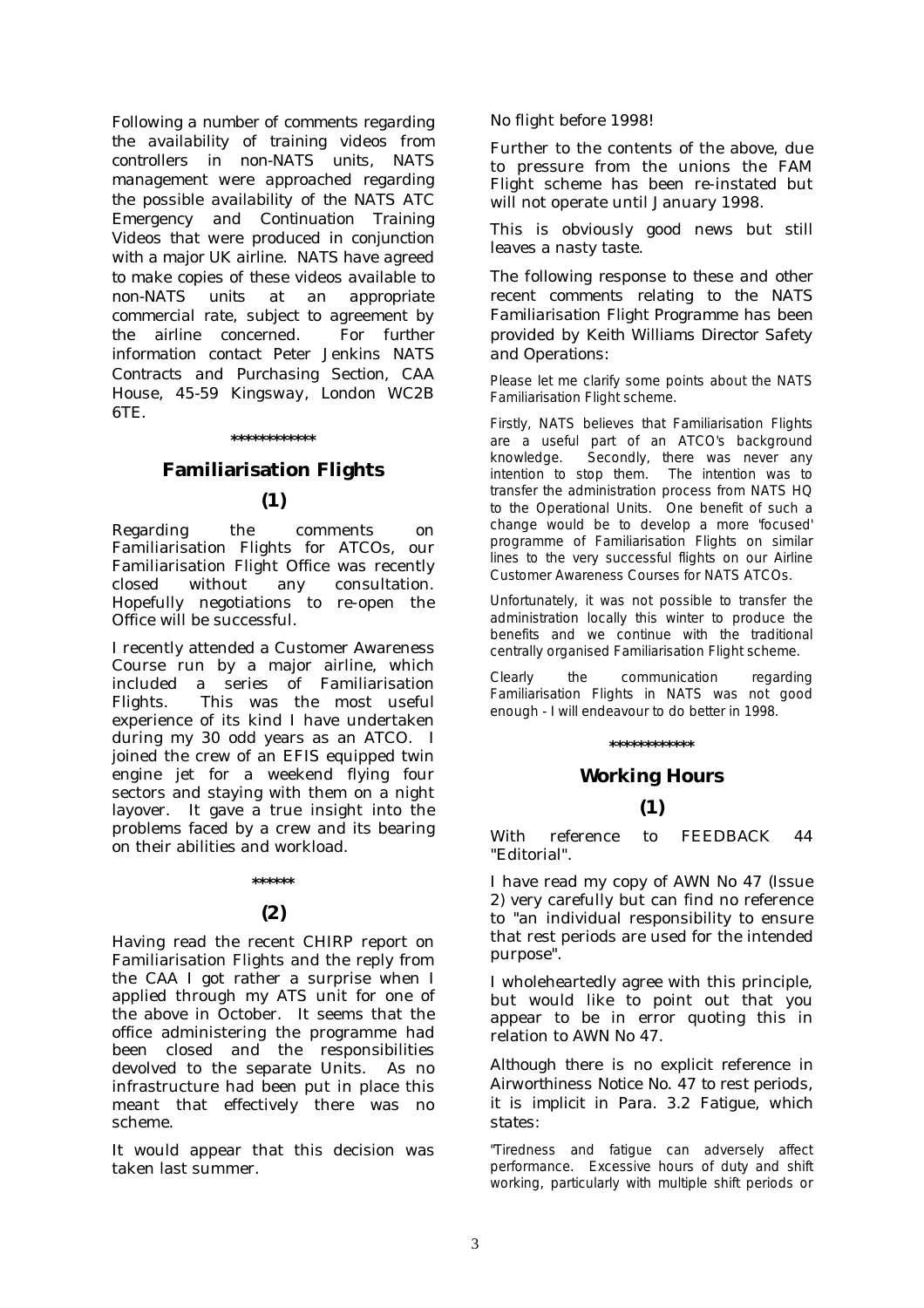*Following a number of comments regarding the availability of training videos from controllers in non-NATS units, NATS management were approached regarding the possible availability of the NATS ATC Emergency and Continuation Training Videos that were produced in conjunction with a major UK airline. NATS have agreed to make copies of these videos available to non-NATS units at an appropriate commercial rate, subject to agreement by the airline concerned. For further information contact Peter Jenkins NATS Contracts and Purchasing Section, CAA House, 45-59 Kingsway, London WC2B 6TE.* 

### **\*\*\*\*\*\*\*\*\*\*\*\***

# **Familiarisation Flights**

# **(1)**

Regarding the comments on Familiarisation Flights for ATCOs, our Familiarisation Flight Office was recently closed without any consultation. Hopefully negotiations to re-open the Office will be successful.

I recently attended a Customer Awareness Course run by a major airline, which included a series of Familiarisation Flights. This was the most useful experience of its kind I have undertaken during my 30 odd years as an ATCO. I joined the crew of an EFIS equipped twin engine jet for a weekend flying four sectors and staying with them on a night layover. It gave a true insight into the problems faced by a crew and its bearing on their abilities and workload.

# **(2)**

**\*\*\*\*\*\*** 

Having read the recent CHIRP report on Familiarisation Flights and the reply from the CAA I got rather a surprise when I applied through my ATS unit for one of the above in October. It seems that the office administering the programme had been closed and the responsibilities devolved to the separate Units. As no infrastructure had been put in place this meant that effectively there was no scheme.

It would appear that this decision was taken last summer.

No flight before 1998!

Further to the contents of the above, due to pressure from the unions the FAM Flight scheme has been re-instated but will not operate until January 1998.

This is obviously good news but still leaves a nasty taste.

*The following response to these and other recent comments relating to the NATS Familiarisation Flight Programme has been provided by Keith Williams Director Safety and Operations:* 

Please let me clarify some points about the NATS Familiarisation Flight scheme.

Firstly, NATS believes that Familiarisation Flights are a useful part of an ATCO's background knowledge. Secondly, there was never any intention to stop them. The intention was to transfer the administration process from NATS HQ to the Operational Units. One benefit of such a change would be to develop a more 'focused' programme of Familiarisation Flights on similar lines to the very successful flights on our Airline Customer Awareness Courses for NATS ATCOs.

Unfortunately, it was not possible to transfer the administration locally this winter to produce the benefits and we continue with the traditional centrally organised Familiarisation Flight scheme.

Clearly the communication regarding Familiarisation Flights in NATS was not good enough - I will endeavour to do better in 1998.

### **\*\*\*\*\*\*\*\*\*\*\*\***

### **Working Hours**

# **(1)**

With reference to FEEDBACK 44 "Editorial".

I have read my copy of AWN No 47 (Issue 2) very carefully but can find no reference to "an individual responsibility to ensure that rest periods are used for the intended purpose".

I wholeheartedly agree with this principle, but would like to point out that you appear to be in error quoting this in relation to AWN No 47.

*Although there is no explicit reference in Airworthiness Notice No. 47 to rest periods, it is implicit in Para. 3.2 Fatigue, which states:* 

"Tiredness and fatigue can adversely affect performance. Excessive hours of duty and shift working, particularly with multiple shift periods or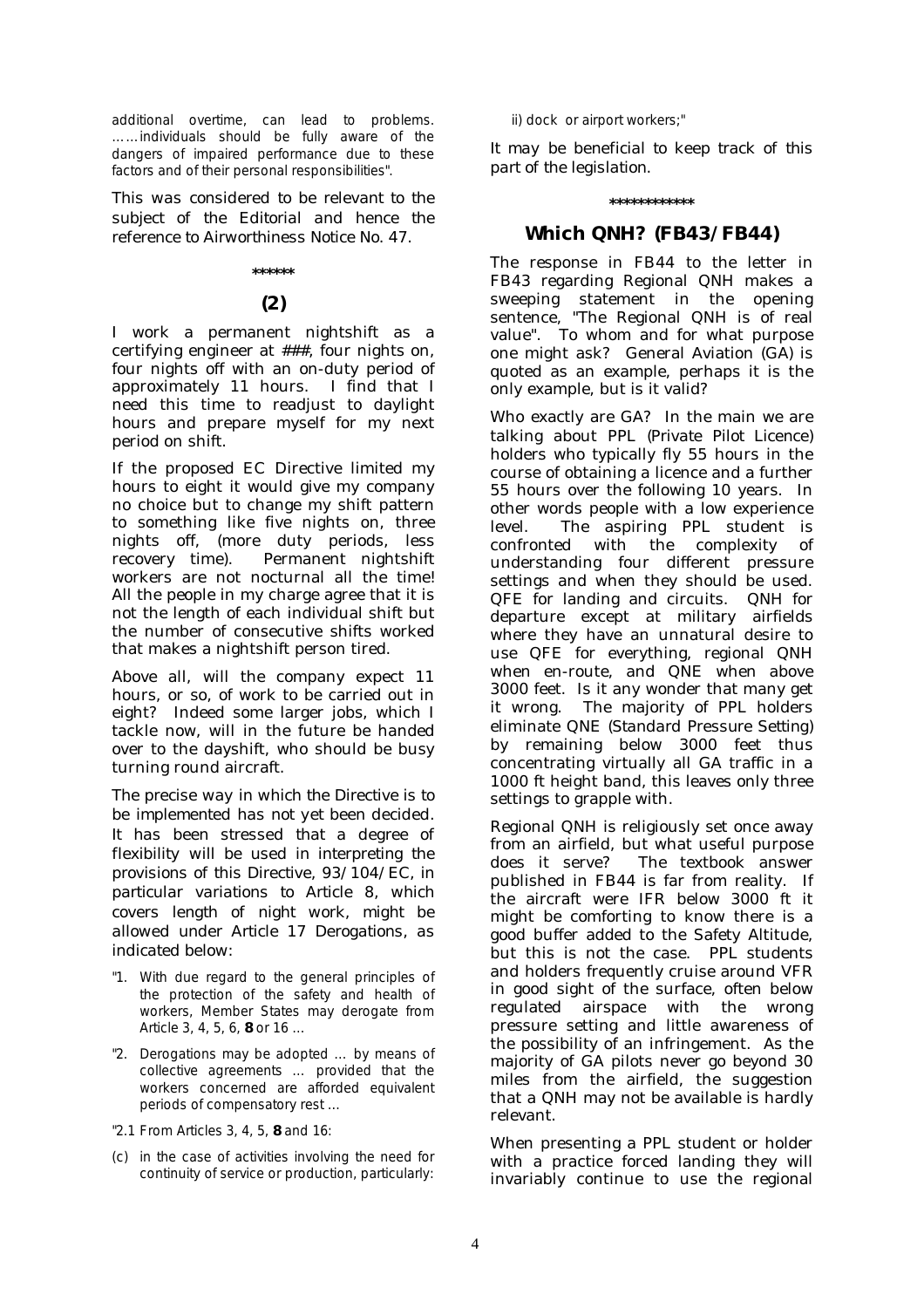additional overtime, can lead to problems. ……individuals should be fully aware of the dangers of impaired performance due to these factors and of their personal responsibilities".

*This was considered to be relevant to the subject of the Editorial and hence the reference to Airworthiness Notice No. 47.* 

### **\*\*\*\*\*\***

# **(2)**

I work a permanent nightshift as a certifying engineer at ###, four nights on, four nights off with an on-duty period of approximately 11 hours. I find that I need this time to readjust to daylight hours and prepare myself for my next period on shift.

If the proposed EC Directive limited my hours to eight it would give my company no choice but to change my shift pattern to something like five nights on, three nights off, (more duty periods, less recovery time). Permanent nightshift workers are not nocturnal all the time! All the people in my charge agree that it is not the length of each individual shift but the number of consecutive shifts worked that makes a nightshift person tired.

Above all, will the company expect 11 hours, or so, of work to be carried out in eight? Indeed some larger jobs, which I tackle now, will in the future be handed over to the dayshift, who should be busy turning round aircraft.

*The precise way in which the Directive is to be implemented has not yet been decided. It has been stressed that a degree of flexibility will be used in interpreting the provisions of this Directive, 93/104/EC, in particular variations to Article 8, which covers length of night work, might be allowed under Article 17 Derogations, as indicated below:* 

- "1. With due regard to the general principles of the protection of the safety and health of workers, Member States may derogate from Article 3, 4, 5, 6, **8** or 16 …
- "2. Derogations may be adopted … by means of collective agreements … provided that the workers concerned are afforded equivalent periods of compensatory rest …
- "2.1 From Articles 3, 4, 5, **8** and 16:
- (c) in the case of activities involving the need for continuity of service or production, particularly:

ii) dock or airport workers;"

*It may be beneficial to keep track of this part of the legislation.* 

### **\*\*\*\*\*\*\*\*\*\*\*\***

# **Which QNH? (FB43/FB44)**

The response in FB44 to the letter in FB43 regarding Regional QNH makes a sweeping statement in the opening sentence, "The Regional QNH is of real value". To whom and for what purpose one might ask? General Aviation (GA) is quoted as an example, perhaps it is the only example, but is it valid?

Who exactly are GA? In the main we are talking about PPL *(Private Pilot Licence)* holders who typically fly 55 hours in the course of obtaining a licence and a further 55 hours over the following 10 years. In other words people with a low experience level. The aspiring PPL student is confronted with the complexity of understanding four different pressure settings and when they should be used. QFE for landing and circuits. QNH for departure except at military airfields where they have an unnatural desire to use QFE for everything, regional QNH when en-route, and QNE when above 3000 feet. Is it any wonder that many get it wrong. The majority of PPL holders eliminate QNE *(Standard Pressure Setting)* by remaining below 3000 feet thus concentrating virtually all GA traffic in a 1000 ft height band, this leaves only three settings to grapple with.

Regional QNH is religiously set once away from an airfield, but what useful purpose does it serve? The textbook answer published in FB44 is far from reality. If the aircraft were IFR below 3000 ft it might be comforting to know there is a good buffer added to the Safety Altitude, but this is not the case. PPL students and holders frequently cruise around VFR in good sight of the surface, often below regulated airspace with the wrong pressure setting and little awareness of the possibility of an infringement. As the majority of GA pilots never go beyond 30 miles from the airfield, the suggestion that a QNH may not be available is hardly relevant.

When presenting a PPL student or holder with a practice forced landing they will invariably continue to use the regional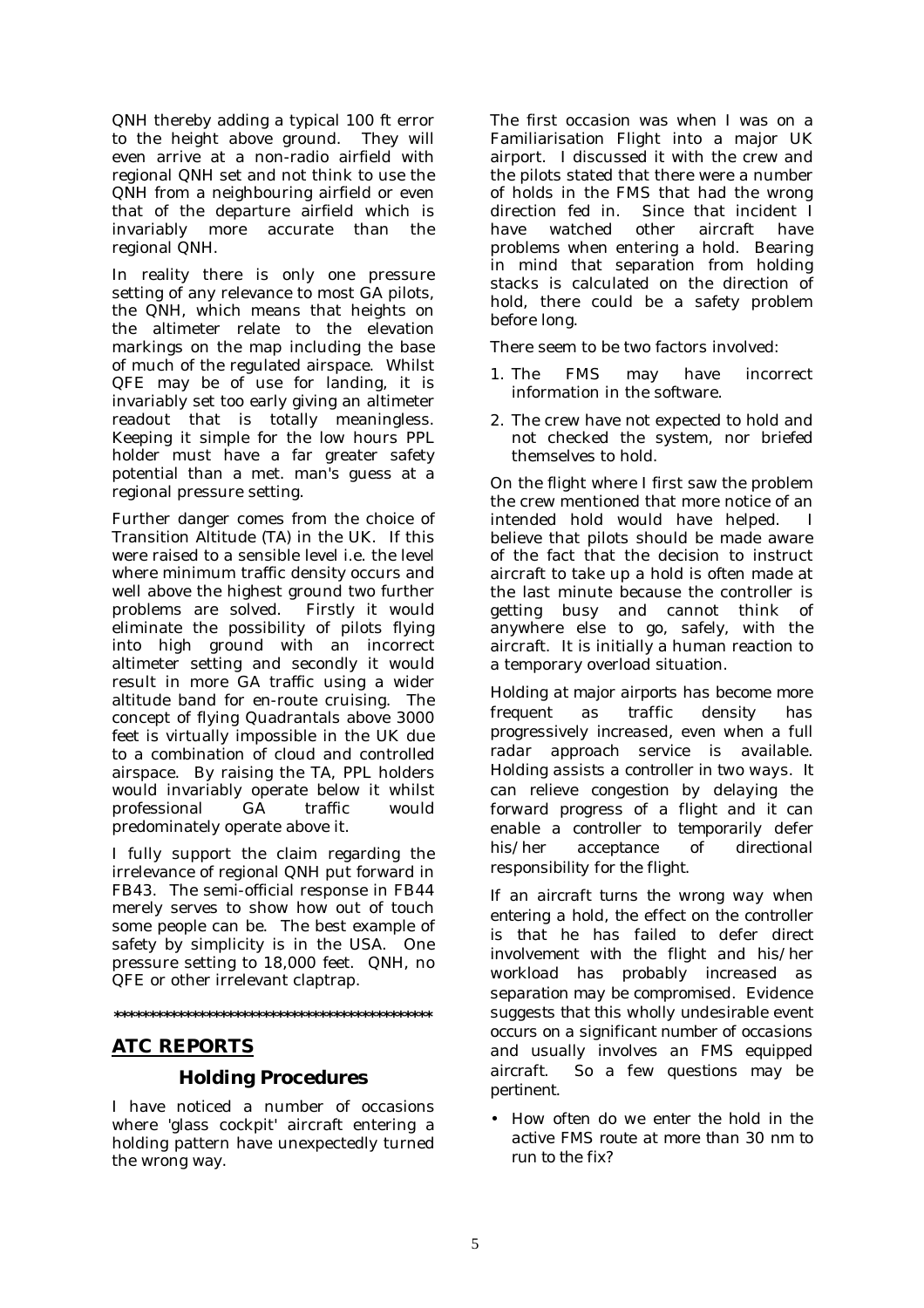QNH thereby adding a typical 100 ft error to the height above ground. They will even arrive at a non-radio airfield with regional QNH set and not think to use the QNH from a neighbouring airfield or even that of the departure airfield which is invariably more accurate than the regional QNH.

In reality there is only one pressure setting of any relevance to most GA pilots, the QNH, which means that heights on the altimeter relate to the elevation markings on the map including the base of much of the regulated airspace. Whilst QFE may be of use for landing, it is invariably set too early giving an altimeter readout that is totally meaningless. Keeping it simple for the low hours PPL holder must have a far greater safety potential than a met. man's guess at a regional pressure setting.

Further danger comes from the choice of Transition Altitude (TA) in the UK. If this were raised to a sensible level i.e. the level where minimum traffic density occurs and well above the highest ground two further problems are solved. Firstly it would eliminate the possibility of pilots flying into high ground with an incorrect altimeter setting and secondly it would result in more GA traffic using a wider altitude band for en-route cruising. The concept of flying Quadrantals above 3000 feet is virtually impossible in the UK due to a combination of cloud and controlled airspace. By raising the TA, PPL holders would invariably operate below it whilst professional GA traffic would predominately operate above it.

I fully support the claim regarding the irrelevance of regional QNH put forward in FB43. The semi-official response in FB44 merely serves to show how out of touch some people can be. The best example of safety by simplicity is in the USA. One pressure setting to 18,000 feet. QNH, no QFE or other irrelevant claptrap.

**\*\*\*\*\*\*\*\*\*\*\*\*\*\*\*\*\*\*\*\*\*\*\*\*\*\*\*\*\*\*\*\*\*\*\*\*\*\*\*\*\*\*\*\*\*** 

# **ATC REPORTS**

# **Holding Procedures**

I have noticed a number of occasions where 'glass cockpit' aircraft entering a holding pattern have unexpectedly turned the wrong way.

The first occasion was when I was on a Familiarisation Flight into a major UK airport. I discussed it with the crew and the pilots stated that there were a number of holds in the FMS that had the wrong direction fed in. Since that incident I have watched other aircraft have problems when entering a hold. Bearing in mind that separation from holding stacks is calculated on the direction of hold, there could be a safety problem before long.

There seem to be two factors involved:

- 1. The FMS may have incorrect information in the software.
- 2. The crew have not expected to hold and not checked the system, nor briefed themselves to hold.

On the flight where I first saw the problem the crew mentioned that more notice of an intended hold would have helped. I believe that pilots should be made aware of the fact that the decision to instruct aircraft to take up a hold is often made at the last minute because the controller is getting busy and cannot think of anywhere else to go, safely, with the aircraft. It is initially a human reaction to a temporary overload situation.

*Holding at major airports has become more frequent as traffic density has progressively increased, even when a full radar approach service is available. Holding assists a controller in two ways. It can relieve congestion by delaying the forward progress of a flight and it can enable a controller to temporarily defer his/her acceptance of directional responsibility for the flight.* 

*If an aircraft turns the wrong way when entering a hold, the effect on the controller is that he has failed to defer direct involvement with the flight and his/her workload has probably increased as separation may be compromised. Evidence suggests that this wholly undesirable event occurs on a significant number of occasions and usually involves an FMS equipped aircraft. So a few questions may be pertinent.* 

• *How often do we enter the hold in the active FMS route at more than 30 nm to run to the fix?*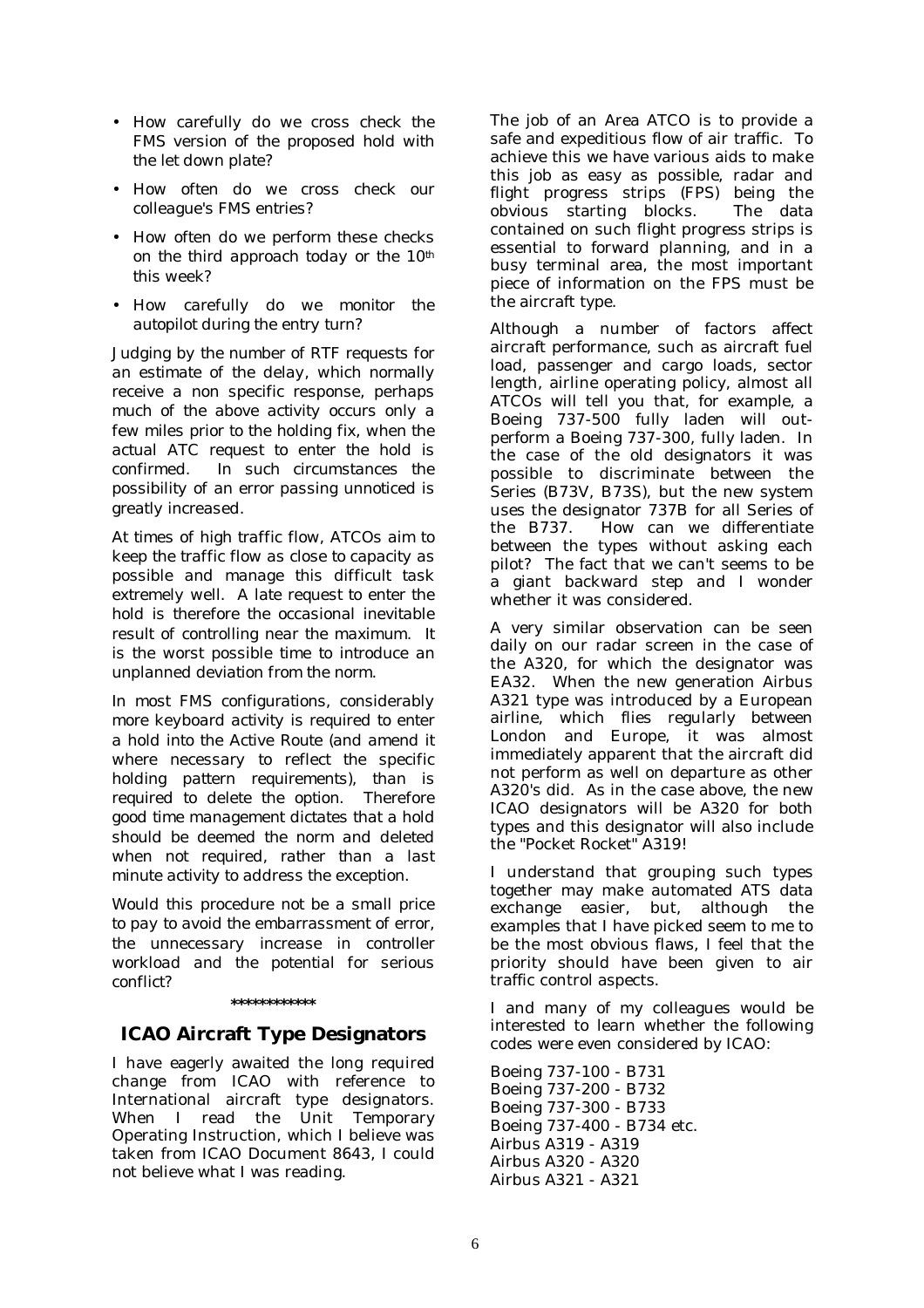- *How carefully do we cross check the FMS version of the proposed hold with the let down plate?*
- *How often do we cross check our colleague's FMS entries?*
- *How often do we perform these checks on the third approach today or the 10th this week?*
- *How carefully do we monitor the autopilot during the entry turn?*

*Judging by the number of RTF requests for an estimate of the delay, which normally receive a non specific response, perhaps much of the above activity occurs only a few miles prior to the holding fix, when the actual ATC request to enter the hold is confirmed. In such circumstances the possibility of an error passing unnoticed is greatly increased.* 

*At times of high traffic flow, ATCOs aim to keep the traffic flow as close to capacity as possible and manage this difficult task extremely well. A late request to enter the hold is therefore the occasional inevitable result of controlling near the maximum. It is the worst possible time to introduce an unplanned deviation from the norm.* 

*In most FMS configurations, considerably more keyboard activity is required to enter a hold into the Active Route (and amend it where necessary to reflect the specific holding pattern requirements), than is required to delete the option. Therefore good time management dictates that a hold should be deemed the norm and deleted when not required, rather than a last minute activity to address the exception.* 

*Would this procedure not be a small price to pay to avoid the embarrassment of error, the unnecessary increase in controller workload and the potential for serious conflict?*

### **\*\*\*\*\*\*\*\*\*\*\*\***

# **ICAO Aircraft Type Designators**

I have eagerly awaited the long required change from ICAO with reference to International aircraft type designators. When I read the Unit Temporary Operating Instruction, which I believe was taken from ICAO Document 8643, I could not believe what I was reading.

The job of an Area ATCO is to provide a safe and expeditious flow of air traffic. To achieve this we have various aids to make this job as easy as possible, radar and flight progress strips (FPS) being the obvious starting blocks. The data contained on such flight progress strips is essential to forward planning, and in a busy terminal area, the most important piece of information on the FPS must be the aircraft type.

Although a number of factors affect aircraft performance, such as aircraft fuel load, passenger and cargo loads, sector length, airline operating policy, almost all ATCOs will tell you that, for example, a Boeing 737-500 fully laden will outperform a Boeing 737-300, fully laden. In the case of the old designators it was possible to discriminate between the Series (B73V, B73S), but the new system uses the designator 737B for all Series of the B737. How can we differentiate between the types without asking each pilot? The fact that we can't seems to be a giant backward step and I wonder whether it was considered.

A very similar observation can be seen daily on our radar screen in the case of the A320, for which the designator was EA32. When the new generation Airbus A321 type was introduced by a European airline, which flies regularly between London and Europe, it was almost immediately apparent that the aircraft did not perform as well on departure as other A320's did. As in the case above, the new ICAO designators will be A320 for both types and this designator will also include the "Pocket Rocket" A319!

I understand that grouping such types together may make automated ATS data exchange easier, but, although the examples that I have picked seem to me to be the most obvious flaws, I feel that the priority should have been given to air traffic control aspects.

I and many of my colleagues would be interested to learn whether the following codes were even considered by ICAO:

Boeing 737-100 - B731 Boeing 737-200 - B732 Boeing 737-300 - B733 Boeing 737-400 - B734 etc. Airbus A319 - A319 Airbus A320 - A320 Airbus A321 - A321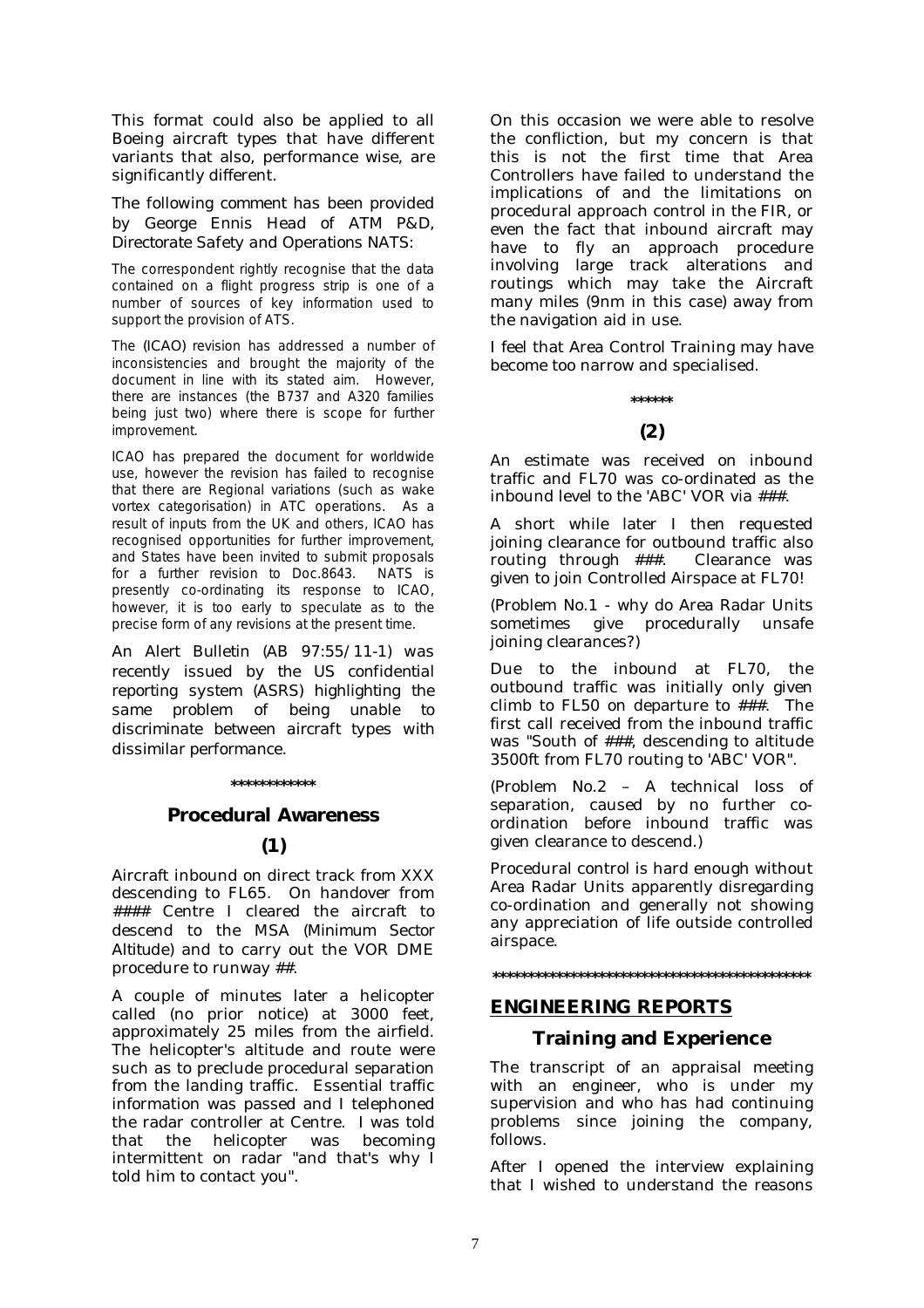This format could also be applied to all Boeing aircraft types that have different variants that also, performance wise, are significantly different.

## *The following comment has been provided by George Ennis Head of ATM P&D, Directorate Safety and Operations NATS:*

The correspondent rightly recognise that the data contained on a flight progress strip is one of a number of sources of key information used to support the provision of ATS.

The *(ICAO)* revision has addressed a number of inconsistencies and brought the majority of the document in line with its stated aim. However, there are instances (the B737 and A320 families being just two) where there is scope for further improvement.

ICAO has prepared the document for worldwide use, however the revision has failed to recognise that there are Regional variations (such as wake vortex categorisation) in ATC operations. As a result of inputs from the UK and others, ICAO has recognised opportunities for further improvement, and States have been invited to submit proposals for a further revision to Doc.8643. NATS is presently co-ordinating its response to ICAO, however, it is too early to speculate as to the precise form of any revisions at the present time.

*An Alert Bulletin (AB 97:55/11-1) was recently issued by the US confidential reporting system (ASRS) highlighting the same proble*m *of being unable to discriminate between aircraft types with dissimilar performance.*

### **\*\*\*\*\*\*\*\*\*\*\*\***

### **Procedural Awareness**

## **(1)**

Aircraft inbound on direct track from XXX descending to FL65. On handover from #### Centre I cleared the aircraft to descend to the MSA *(Minimum Sector Altitude)* and to carry out the VOR DME procedure to runway ##.

A couple of minutes later a helicopter called (no prior notice) at 3000 feet, approximately 25 miles from the airfield. The helicopter's altitude and route were such as to preclude procedural separation from the landing traffic. Essential traffic information was passed and I telephoned the radar controller at Centre. I was told that the helicopter was becoming intermittent on radar "and that's why I told him to contact you".

On this occasion we were able to resolve the confliction, but my concern is that this is not the first time that Area Controllers have failed to understand the implications of and the limitations on procedural approach control in the FIR, or even the fact that inbound aircraft may have to fly an approach procedure involving large track alterations and routings which may take the Aircraft many miles (9nm in this case) away from the navigation aid in use.

I feel that Area Control Training may have become too narrow and specialised.

# **\*\*\*\*\*\* (2)**

An estimate was received on inbound traffic and FL70 was co-ordinated as the inbound level to the 'ABC' VOR via ###.

A short while later I then requested joining clearance for outbound traffic also routing through ###. Clearance was given to join Controlled Airspace at FL70!

(Problem No.1 - why do Area Radar Units sometimes give procedurally unsafe joining clearances?)

Due to the inbound at FL70, the outbound traffic was initially only given climb to FL50 on departure to ###. The first call received from the inbound traffic was "South of ###, descending to altitude 3500ft from FL70 routing to 'ABC' VOR".

(Problem No.2 – A technical loss of separation, caused by no further coordination before inbound traffic was given clearance to descend.)

Procedural control is hard enough without Area Radar Units apparently disregarding co-ordination and generally not showing any appreciation of life outside controlled airspace.

### **\*\*\*\*\*\*\*\*\*\*\*\*\*\*\*\*\*\*\*\*\*\*\*\*\*\*\*\*\*\*\*\*\*\*\*\*\*\*\*\*\*\*\*\*\***

# **ENGINEERING REPORTS**

### **Training and Experience**

The transcript of an appraisal meeting with an engineer, who is under my supervision and who has had continuing problems since joining the company, follows.

After I opened the interview explaining that I wished to understand the reasons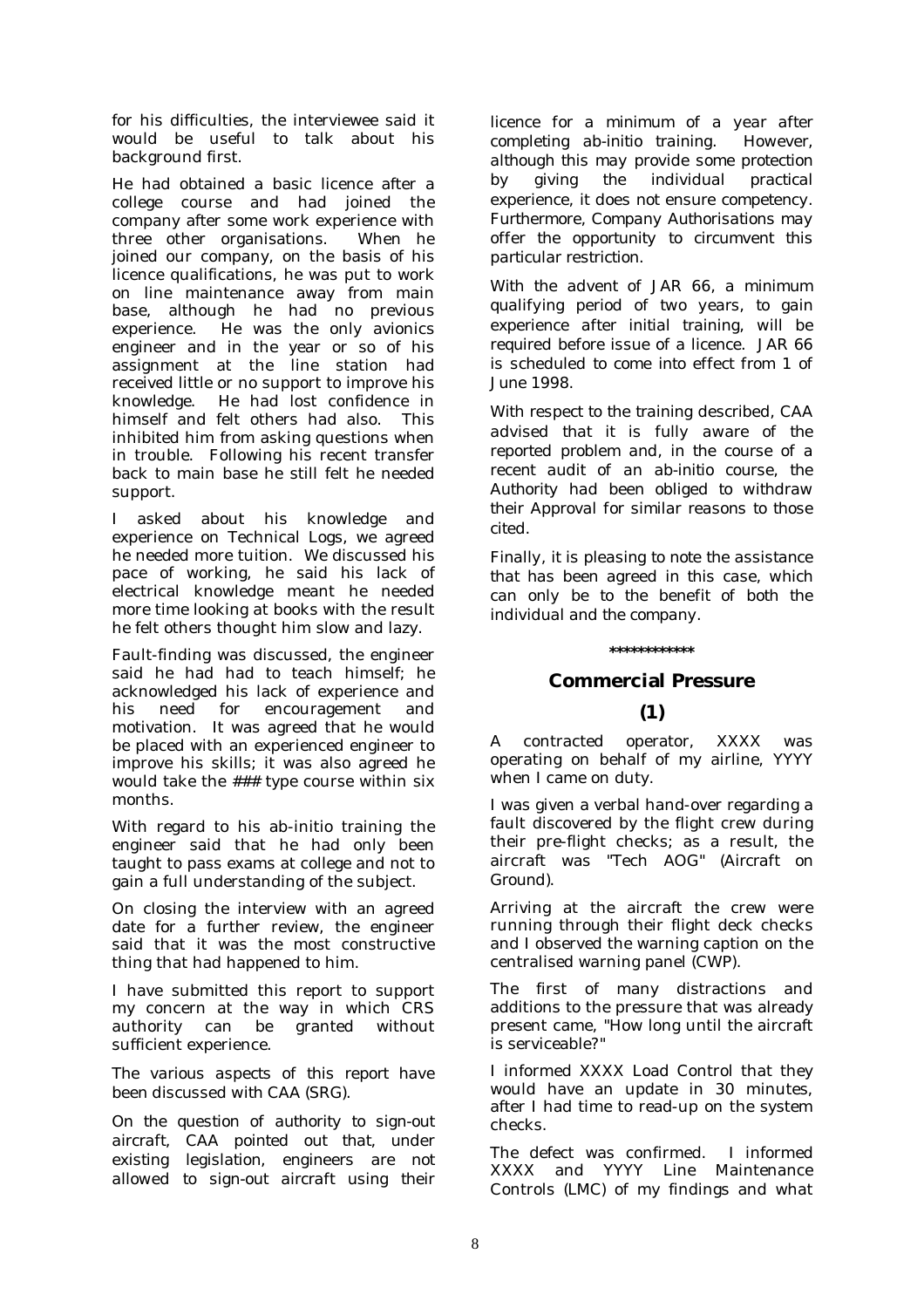for his difficulties, the interviewee said it would be useful to talk about his background first.

He had obtained a basic licence after a college course and had joined the company after some work experience with three other organisations. When he joined our company, on the basis of his licence qualifications, he was put to work on line maintenance away from main base, although he had no previous experience. He was the only avionics engineer and in the year or so of his assignment at the line station had received little or no support to improve his knowledge. He had lost confidence in himself and felt others had also. This inhibited him from asking questions when in trouble. Following his recent transfer back to main base he still felt he needed support.

I asked about his knowledge and experience on Technical Logs, we agreed he needed more tuition. We discussed his pace of working, he said his lack of electrical knowledge meant he needed more time looking at books with the result he felt others thought him slow and lazy.

Fault-finding was discussed, the engineer said he had had to teach himself; he acknowledged his lack of experience and his need for encouragement and motivation. It was agreed that he would be placed with an experienced engineer to improve his skills; it was also agreed he would take the ### type course within six months.

With regard to his ab-initio training the engineer said that he had only been taught to pass exams at college and not to gain a full understanding of the subject.

On closing the interview with an agreed date for a further review, the engineer said that it was the most constructive thing that had happened to him.

I have submitted this report to support my concern at the way in which CRS authority can be granted without sufficient experience.

*The various aspects of this report have been discussed with CAA (SRG).* 

*On the question of authority to sign-out aircraft, CAA pointed out that, under existing legislation, engineers are not allowed to sign-out aircraft using their* 

*licence for a minimum of a year after completing ab-initio training. However, although this may provide some protection by giving the individual practical experience, it does not ensure competency. Furthermore, Company Authorisations may offer the opportunity to circumvent this particular restriction.* 

*With the advent of JAR 66, a minimum qualifying period of two years, to gain experience after initial training, will be required before issue of a licence. JAR 66 is scheduled to come into effect from 1 of June 1998.* 

*With respect to the training described, CAA advised that it is fully aware of the reported problem and, in the course of a recent audit of an ab-initio course, the Authority had been obliged to withdraw their Approval for similar reasons to those cited.* 

*Finally, it is pleasing to note the assistance that has been agreed in this case, which can only be to the benefit of both the individual and the company.* 

### **\*\*\*\*\*\*\*\*\*\*\*\***

# **Commercial Pressure**

# **(1)**

A contracted operator, XXXX was operating on behalf of my airline, YYYY when I came on duty.

I was given a verbal hand-over regarding a fault discovered by the flight crew during their pre-flight checks; as a result, the aircraft was "Tech AOG*" (Aircraft on Ground).* 

Arriving at the aircraft the crew were running through their flight deck checks and I observed the warning caption on the centralised warning panel (CWP).

The first of many distractions and additions to the pressure that was already present came, "How long until the aircraft is serviceable?"

I informed XXXX Load Control that they would have an update in 30 minutes, after I had time to read-up on the system checks.

The defect was confirmed. I informed XXXX and YYYY Line Maintenance Controls *(LMC)* of my findings and what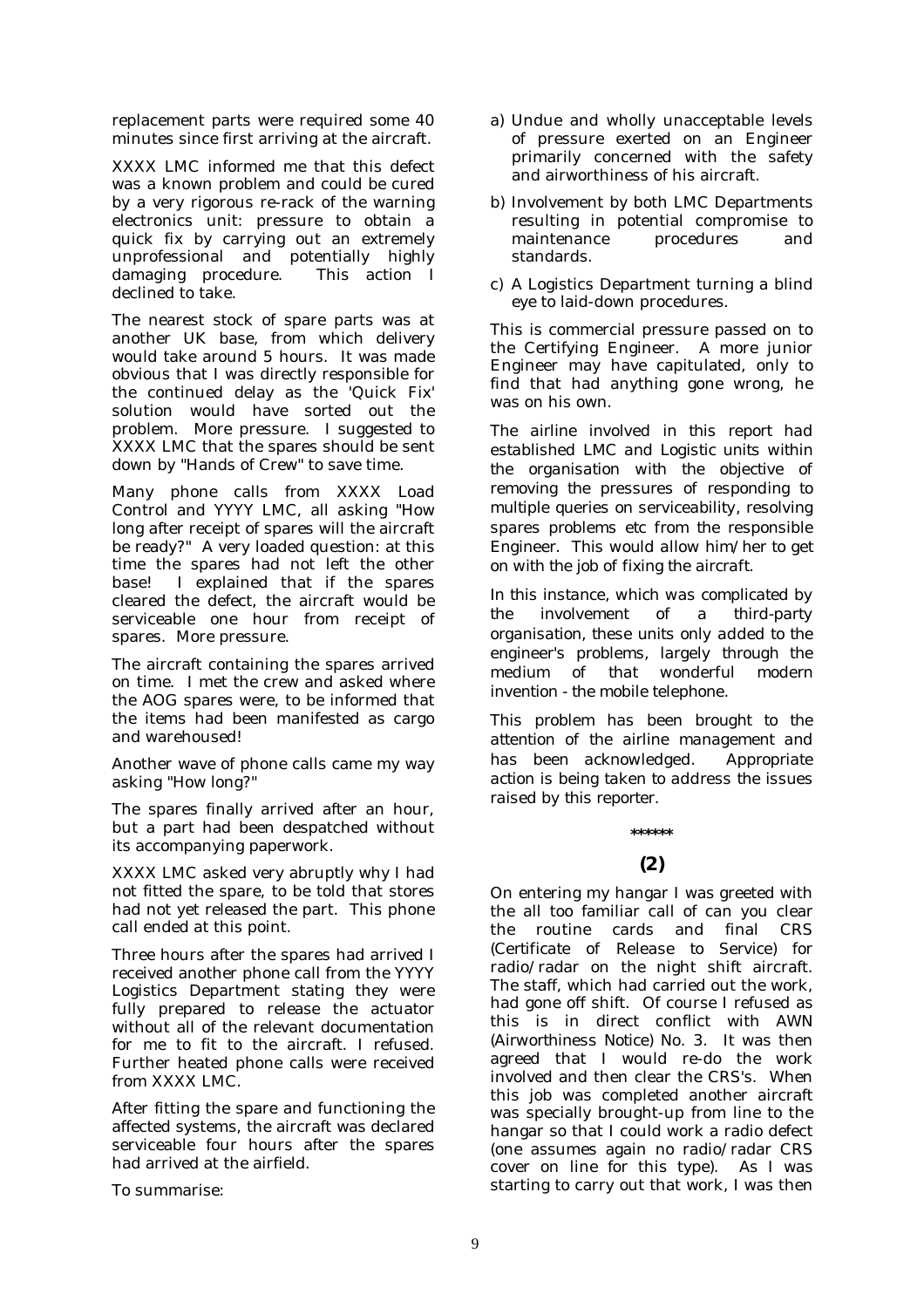replacement parts were required some 40 minutes since first arriving at the aircraft.

XXXX LMC informed me that this defect was a known problem and could be cured by a very rigorous re-rack of the warning electronics unit: pressure to obtain a quick fix by carrying out an extremely unprofessional and potentially highly damaging procedure. This action I declined to take.

The nearest stock of spare parts was at another UK base, from which delivery would take around 5 hours. It was made obvious that I was directly responsible for the continued delay as the 'Quick Fix' solution would have sorted out the problem. More pressure. I suggested to XXXX LMC that the spares should be sent down by "Hands of Crew" to save time.

Many phone calls from XXXX Load Control and YYYY LMC, all asking "How long after receipt of spares will the aircraft be ready?" A very loaded question: at this time the spares had not left the other base! I explained that if the spares cleared the defect, the aircraft would be serviceable one hour from receipt of spares. More pressure.

The aircraft containing the spares arrived on time. I met the crew and asked where the AOG spares were, to be informed that the items had been manifested as cargo and warehoused!

Another wave of phone calls came my way asking "How long?"

The spares finally arrived after an hour, but a part had been despatched without its accompanying paperwork.

XXXX LMC asked very abruptly why I had not fitted the spare, to be told that stores had not yet released the part. This phone call ended at this point.

Three hours after the spares had arrived I received another phone call from the YYYY Logistics Department stating they were fully prepared to release the actuator without all of the relevant documentation for me to fit to the aircraft. I refused. Further heated phone calls were received from XXXX LMC.

After fitting the spare and functioning the affected systems, the aircraft was declared serviceable four hours after the spares had arrived at the airfield.

To summarise:

- a) Undue and wholly unacceptable levels of pressure exerted on an Engineer primarily concerned with the safety and airworthiness of his aircraft.
- b) Involvement by both LMC Departments resulting in potential compromise to maintenance procedures and standards.
- c) A Logistics Department turning a blind eye to laid-down procedures.

This is commercial pressure passed on to the Certifying Engineer. A more junior Engineer may have capitulated, only to find that had anything gone wrong, he was on his own.

*The airline involved in this report had established LMC and Logistic units within the organisation with the objective of removing the pressures of responding to multiple queries on serviceability, resolving spares problems etc from the responsible Engineer. This would allow him/her to get on with the job of fixing the aircraft.* 

*In this instance, which was complicated by the involvement of a third-party organisation, these units only added to the engineer's problems, largely through the medium of that wonderful modern invention - the mobile telephone.* 

*This problem has been brought to the attention of the airline management and has been acknowledged. Appropriate action is being taken to address the issues raised by this reporter.* 

# **\*\*\*\*\*\***

# **(2)**

On entering my hangar I was greeted with the all too familiar call of can you clear the routine cards and final CRS *(Certificate of Release to Service)* for radio/radar on the night shift aircraft. The staff, which had carried out the work, had gone off shift. Of course I refused as this is in direct conflict with AWN *(Airworthiness Notice)* No. 3. It was then agreed that I would re-do the work involved and then clear the CRS's. When this job was completed another aircraft was specially brought-up from line to the hangar so that I could work a radio defect (one assumes again no radio/radar CRS cover on line for this type). As I was starting to carry out that work, I was then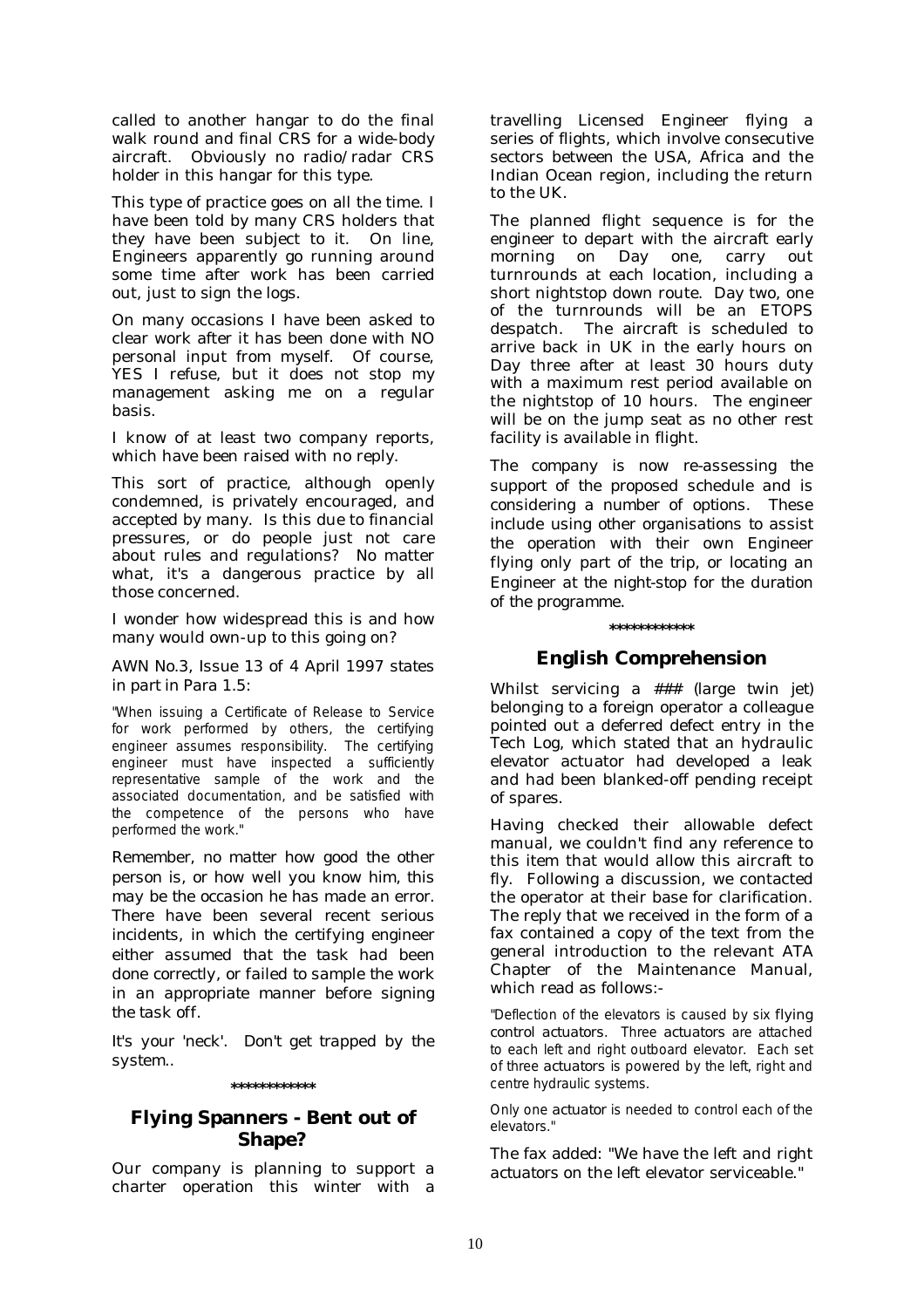called to another hangar to do the final walk round and final CRS for a wide-body aircraft. Obviously no radio/radar CRS holder in this hangar for this type.

This type of practice goes on all the time. I have been told by many CRS holders that they have been subject to it. On line, Engineers apparently go running around some time after work has been carried out, just to sign the logs.

On many occasions I have been asked to clear work after it has been done with NO personal input from myself. Of course, YES I refuse, but it does not stop my management asking me on a regular basis.

I know of at least two company reports, which have been raised with no reply.

This sort of practice, although openly condemned, is privately encouraged, and accepted by many. Is this due to financial pressures, or do people just not care about rules and regulations? No matter what, it's a dangerous practice by all those concerned.

I wonder how widespread this is and how many would own-up to this going on?

### *AWN No.3, Issue 13 of 4 April 1997 states in part in Para 1.5:*

"When issuing a Certificate of Release to Service for work performed by others, the certifying engineer assumes responsibility. The certifying engineer must have inspected a sufficiently representative sample of the work and the associated documentation, and be satisfied with the competence of the persons who have performed the work."

*Remember, no matter how good the other person is, or how well you know him, this may be the occasion he has made an error. There have been several recent serious incidents, in which the certifying engineer either assumed that the task had been done correctly, or failed to sample the work in an appropriate manner before signing the task off.* 

*It's your 'neck'. Don't get trapped by the system..* 

### **\*\*\*\*\*\*\*\*\*\*\*\***

# **Flying Spanners - Bent out of Shape?**

Our company is planning to support a charter operation this winter with a travelling Licensed Engineer flying a series of flights, which involve consecutive sectors between the USA, Africa and the Indian Ocean region, including the return to the UK.

The planned flight sequence is for the engineer to depart with the aircraft early morning on Day one, carry out turnrounds at each location, including a short nightstop down route. Day two, one of the turnrounds will be an ETOPS despatch. The aircraft is scheduled to arrive back in UK in the early hours on Day three after at least 30 hours duty with a maximum rest period available on the nightstop of 10 hours. The engineer will be on the jump seat as no other rest facility is available in flight.

*The company is now re-assessing the support of the proposed schedule and is considering a number of options. These include using other organisations to assist the operation with their own Engineer flying only part of the trip, or locating an Engineer at the night-stop for the duration of the programme.* 

# **\*\*\*\*\*\*\*\*\*\*\*\***

# **English Comprehension**

Whilst servicing a ### *(large twin jet)* belonging to a foreign operator a colleague pointed out a deferred defect entry in the Tech Log, which stated that an hydraulic elevator actuator had developed a leak and had been blanked-off pending receipt of spares.

Having checked their allowable defect manual, we couldn't find any reference to this item that would allow this aircraft to fly. Following a discussion, we contacted the operator at their base for clarification. The reply that we received in the form of a fax contained a copy of the text from the general introduction to the relevant ATA Chapter of the Maintenance Manual, which read as follows:-

"Deflection of the elevators is caused by six *flying control actuators*. Three *actuators* are attached to each left and right outboard elevator. Each set of three *actuators* is powered by the left, right and centre hydraulic systems.

Only one *actuator* is needed to control each of the elevators."

The fax added: "We have the left and right *actuators* on the left elevator serviceable."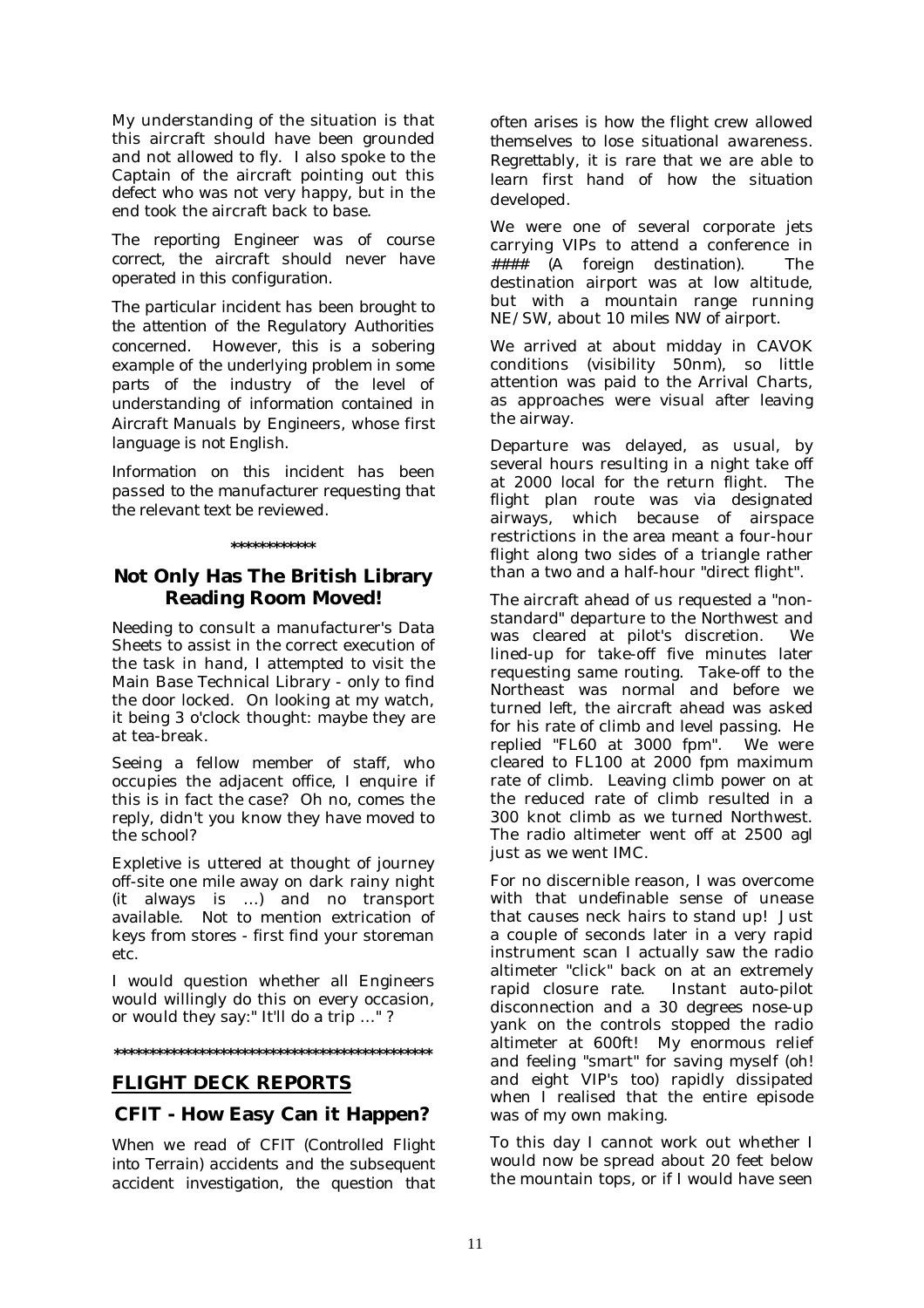My understanding of the situation is that this aircraft should have been grounded and not allowed to fly. I also spoke to the Captain of the aircraft pointing out this defect who was not very happy, but in the end took the aircraft back to base.

*The reporting Engineer was of course correct, the aircraft should never have operated in this configuration.* 

*The particular incident has been brought to the attention of the Regulatory Authorities concerned. However, this is a sobering example of the underlying problem in some parts of the industry of the level of understanding of information contained in Aircraft Manuals by Engineers, whose first language is not English.* 

*Information on this incident has been passed to the manufacturer requesting that the relevant text be reviewed.* 

### **\*\*\*\*\*\*\*\*\*\*\*\***

# **Not Only Has The British Library Reading Room Moved!**

Needing to consult a manufacturer's Data Sheets to assist in the correct execution of the task in hand, I attempted to visit the Main Base Technical Library - only to find the door locked. On looking at my watch, it being 3 o'clock thought: maybe they are at tea-break.

Seeing a fellow member of staff, who occupies the adjacent office, I enquire if this is in fact the case? Oh no, comes the reply, didn't you know they have moved to the school?

Expletive is uttered at thought of journey off-site one mile away on dark rainy night (it always is …) and no transport available. Not to mention extrication of keys from stores - first find your storeman etc.

I would question whether all Engineers would willingly do this on every occasion, or would they say:" It'll do a trip …" ?

### **\*\*\*\*\*\*\*\*\*\*\*\*\*\*\*\*\*\*\*\*\*\*\*\*\*\*\*\*\*\*\*\*\*\*\*\*\*\*\*\*\*\*\*\*\***

# **FLIGHT DECK REPORTS**

# **CFIT - How Easy Can it Happen?**

*When we read of CFIT (Controlled Flight into Terrain) accidents and the subsequent accident investigation, the question that*  *often arises is how the flight crew allowed themselves to lose situational awareness. Regrettably, it is rare that we are able to learn first hand of how the situation developed.* 

We were one of several corporate jets carrying VIPs to attend a conference in #### *(A foreign destination).* The destination airport was at low altitude, but with a mountain range running NE/SW, about 10 miles NW of airport.

We arrived at about midday in CAVOK conditions (visibility 50nm), so little attention was paid to the Arrival Charts, as approaches were visual after leaving the airway.

Departure was delayed, as usual, by several hours resulting in a night take off at 2000 local for the return flight. The flight plan route was via designated airways, which because of airspace restrictions in the area meant a four-hour flight along two sides of a triangle rather than a two and a half-hour "direct flight".

The aircraft ahead of us requested a "nonstandard" departure to the Northwest and was cleared at pilot's discretion. We lined-up for take-off five minutes later requesting same routing. Take-off to the Northeast was normal and before we turned left, the aircraft ahead was asked for his rate of climb and level passing. He replied "FL60 at 3000 fpm". We were cleared to FL100 at 2000 fpm maximum rate of climb. Leaving climb power on at the reduced rate of climb resulted in a 300 knot climb as we turned Northwest. The radio altimeter went off at 2500 agl just as we went IMC.

For no discernible reason, I was overcome with that undefinable sense of unease that causes neck hairs to stand up! Just a couple of seconds later in a very rapid instrument scan I actually saw the radio altimeter "click" back on at an extremely rapid closure rate. Instant auto-pilot disconnection and a 30 degrees nose-up yank on the controls stopped the radio altimeter at 600ft! My enormous relief and feeling "smart" for saving myself (oh! and eight VIP's too) rapidly dissipated when I realised that the entire episode was of my own making.

To this day I cannot work out whether I would now be spread about 20 feet below the mountain tops, or if I would have seen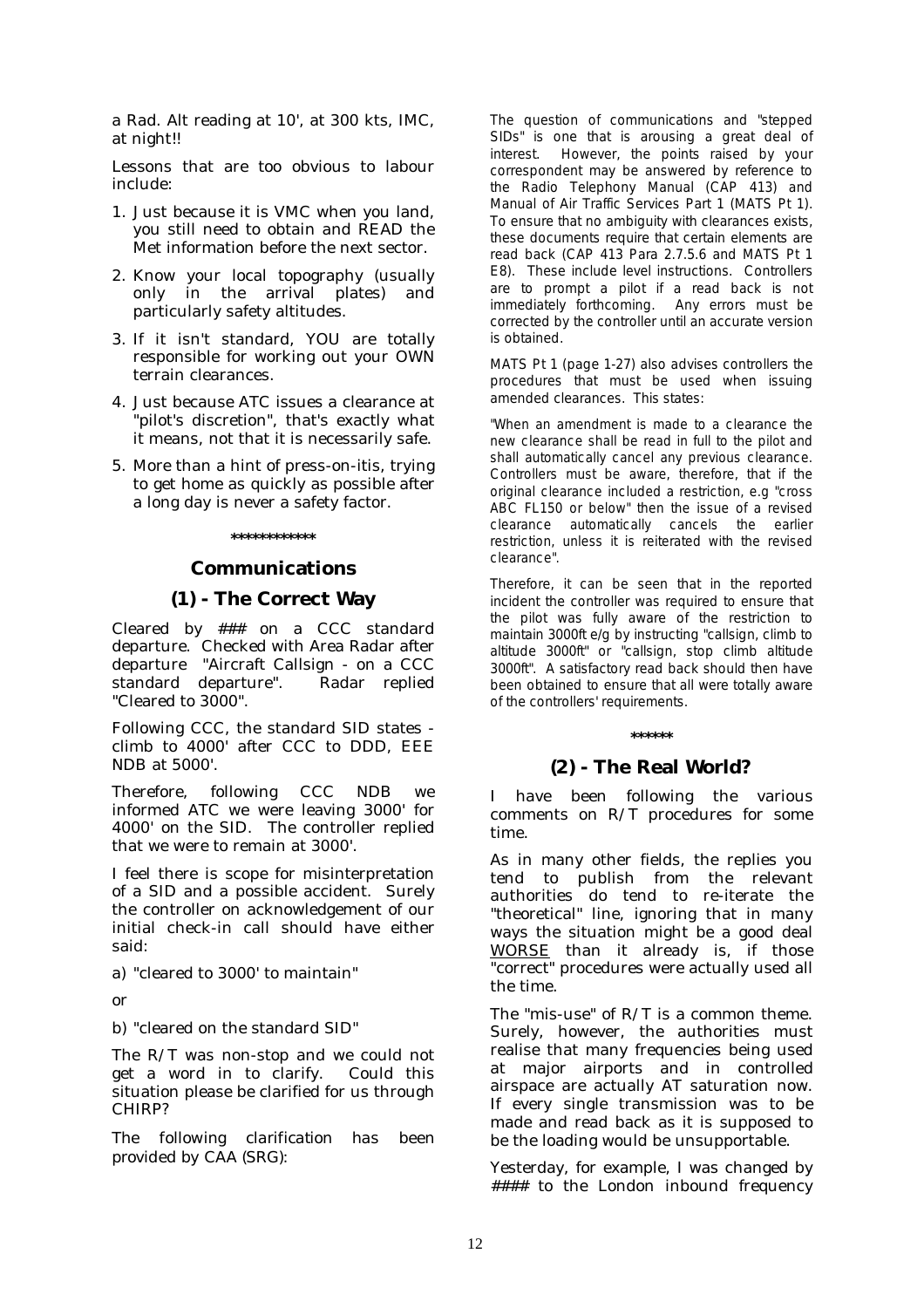a Rad. Alt reading at 10', at 300 kts, IMC, at night!!

Lessons that are too obvious to labour include:

- 1. Just because it is VMC when you land, you still need to obtain and READ the Met information before the next sector.
- 2. Know your local topography (usually only in the arrival plates) and particularly safety altitudes.
- 3. If it isn't standard, YOU are totally responsible for working out your OWN terrain clearances.
- 4. Just because ATC issues a clearance at "pilot's discretion", that's exactly what it means, not that it is necessarily safe.
- 5. More than a hint of press-on-itis, trying to get home as quickly as possible after a long day is never a safety factor.

### **\*\*\*\*\*\*\*\*\*\*\*\***

# **Communications**

# **(1) - The Correct Way**

Cleared by ### on a CCC standard departure. Checked with Area Radar after departure "Aircraft Callsign - on a CCC standard departure". Radar replied "Cleared to 3000".

Following CCC, the standard SID states climb to 4000' after CCC to DDD, EEE NDB at 5000'.

Therefore, following CCC NDB we informed ATC we were leaving 3000' for 4000' on the SID. The controller replied that we were to remain at 3000'.

I feel there is scope for misinterpretation of a SID and a possible accident. Surely the controller on acknowledgement of our initial check-in call should have either said:

a) "cleared to 3000' to maintain"

or

b) "cleared on the standard SID"

The R/T was non-stop and we could not get a word in to clarify. Could this situation please be clarified for us through CHIRP?

*The following clarification has been provided by CAA (SRG):* 

The question of communications and "stepped SIDs" is one that is arousing a great deal of interest. However, the points raised by your correspondent may be answered by reference to the Radio Telephony Manual (CAP 413) and Manual of Air Traffic Services Part 1 (MATS Pt 1). To ensure that no ambiguity with clearances exists, these documents require that certain elements are read back (CAP 413 Para 2.7.5.6 and MATS Pt 1 E8). These include level instructions. Controllers are to prompt a pilot if a read back is not immediately forthcoming. Any errors must be corrected by the controller until an accurate version is obtained.

MATS Pt 1 (page 1-27) also advises controllers the procedures that must be used when issuing amended clearances. This states:

*"When an amendment is made to a clearance the new clearance shall be read in full to the pilot and shall automatically cancel any previous clearance. Controllers must be aware, therefore, that if the original clearance included a restriction, e.g "cross ABC FL150 or below" then the issue of a revised clearance automatically cancels the earlier restriction, unless it is reiterated with the revised clearance".* 

Therefore, it can be seen that in the reported incident the controller was required to ensure that the pilot was fully aware of the restriction to maintain 3000ft e/g by instructing "callsign, climb to altitude 3000ft" or "callsign, stop climb altitude 3000ft". A satisfactory read back should then have been obtained to ensure that all were totally aware of the controllers' requirements.

### **\*\*\*\*\*\***

# **(2) - The Real World?**

I have been following the various comments on R/T procedures for some time.

As in many other fields, the replies you tend to publish from the relevant authorities do tend to re-iterate the "theoretical" line, ignoring that in many ways the situation might be a good deal WORSE than it already is, if those "correct" procedures were actually used all the time.

The "mis-use" of R/T is a common theme. Surely, however, the authorities must realise that many frequencies being used at major airports and in controlled airspace are actually AT saturation now. If every single transmission was to be made and read back as it is supposed to be the loading would be unsupportable.

Yesterday, for example, I was changed by #### to the London inbound frequency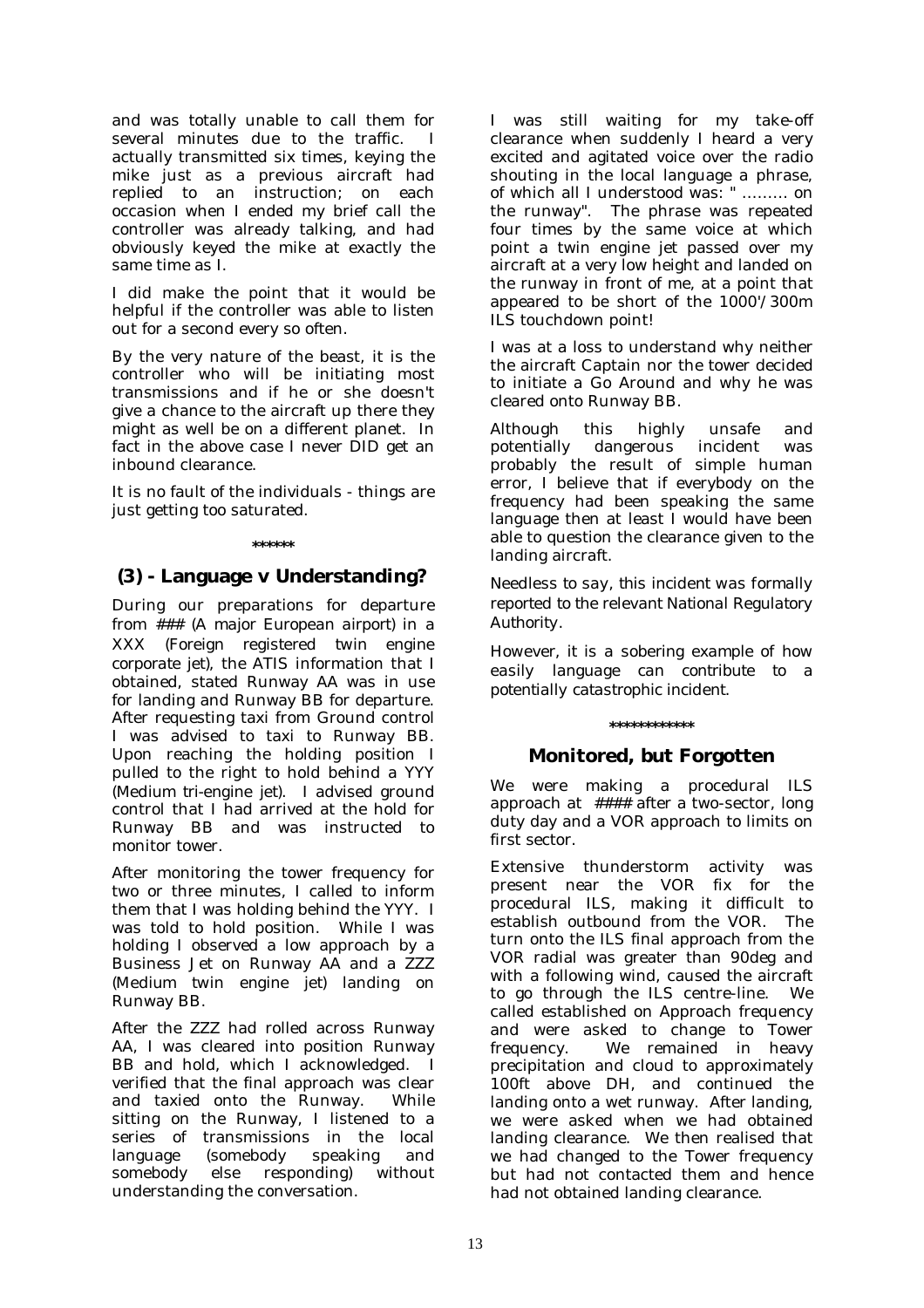and was totally unable to call them for several minutes due to the traffic. I actually transmitted six times, keying the mike just as a previous aircraft had replied to an instruction; on each occasion when I ended my brief call the controller was already talking, and had obviously keyed the mike at exactly the same time as I.

I did make the point that it would be helpful if the controller was able to listen out for a second every so often.

By the very nature of the beast, it is the controller who will be initiating most transmissions and if he or she doesn't give a chance to the aircraft up there they might as well be on a different planet. In fact in the above case I never DID get an inbound clearance.

It is no fault of the individuals - things are just getting too saturated.

### **\*\*\*\*\*\***

# **(3) - Language v Understanding?**

During our preparations for departure from ### *(A major European airport)* in a XXX *(Foreign registered twin engine corporate jet)*, the ATIS information that I obtained, stated Runway AA was in use for landing and Runway BB for departure. After requesting taxi from Ground control I was advised to taxi to Runway BB. Upon reaching the holding position I pulled to the right to hold behind a YYY (*Medium tri-engine jet)*. I advised ground control that I had arrived at the hold for Runway BB and was instructed to monitor tower.

After monitoring the tower frequency for two or three minutes, I called to inform them that I was holding behind the YYY. I was told to hold position. While I was holding I observed a low approach by a Business Jet on Runway AA and a ZZZ *(*M*edium twin engine jet)* landing on Runway BB.

After the ZZZ had rolled across Runway AA, I was cleared into position Runway BB and hold, which I acknowledged. I verified that the final approach was clear and taxied onto the Runway. While sitting on the Runway, I listened to a series of transmissions in the local language (somebody speaking and somebody else responding) without understanding the conversation.

I was still waiting for my take-off clearance when suddenly I heard a very excited and agitated voice over the radio shouting in the local language a phrase, of which all I understood was: " ……… on the runway". The phrase was repeated four times by the same voice at which point a twin engine jet passed over my aircraft at a very low height and landed on the runway in front of me, at a point that appeared to be short of the 1000'/300m ILS touchdown point!

I was at a loss to understand why neither the aircraft Captain nor the tower decided to initiate a Go Around and why he was cleared onto Runway BB.

Although this highly unsafe and potentially dangerous incident was probably the result of simple human error, I believe that if everybody on the frequency had been speaking the same language then at least I would have been able to question the clearance given to the landing aircraft.

*Needless to say, this incident was formally reported to the relevant National Regulatory Authority.* 

*However, it is a sobering example of how easily language can contribute to a potentially catastrophic incident.* 

# **\*\*\*\*\*\*\*\*\*\*\*\***

# **Monitored, but Forgotten**

We were making a procedural ILS approach at #### after a two-sector, long duty day and a VOR approach to limits on first sector.

Extensive thunderstorm activity was present near the VOR fix for the procedural ILS, making it difficult to establish outbound from the VOR. The turn onto the ILS final approach from the VOR radial was greater than 90deg and with a following wind, caused the aircraft to go through the ILS centre-line. We called established on Approach frequency and were asked to change to Tower frequency. We remained in heavy precipitation and cloud to approximately 100ft above DH, and continued the landing onto a wet runway. After landing, we were asked when we had obtained landing clearance. We then realised that we had changed to the Tower frequency but had not contacted them and hence had not obtained landing clearance.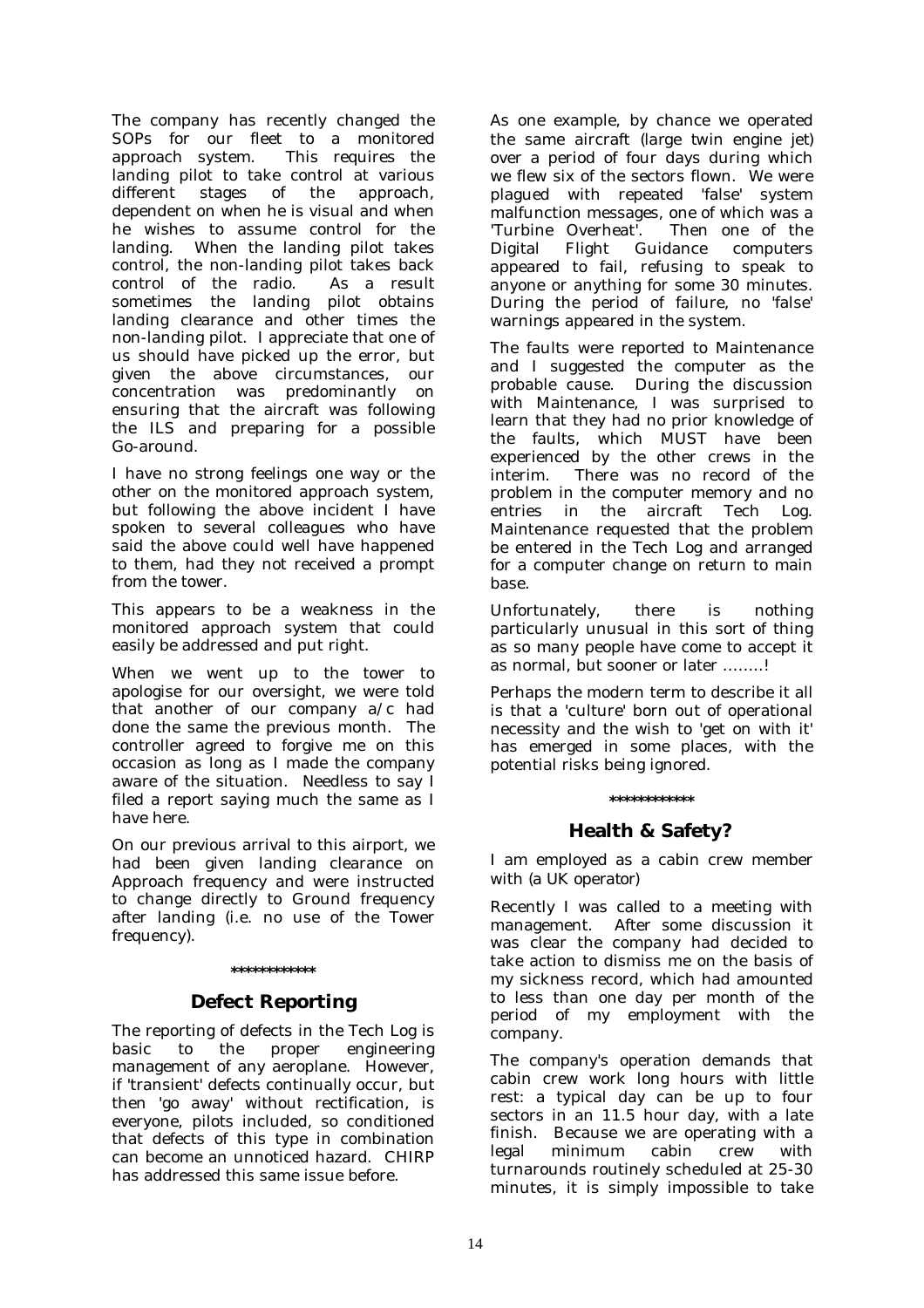The company has recently changed the SOPs for our fleet to a monitored approach system. This requires the landing pilot to take control at various<br>different stages of the approach. different stages of the dependent on when he is visual and when he wishes to assume control for the landing. When the landing pilot takes control, the non-landing pilot takes back control of the radio. As a result sometimes the landing pilot obtains landing clearance and other times the non-landing pilot. I appreciate that one of us should have picked up the error, but given the above circumstances, our concentration was predominantly on ensuring that the aircraft was following the ILS and preparing for a possible Go-around.

I have no strong feelings one way or the other on the monitored approach system, but following the above incident I have spoken to several colleagues who have said the above could well have happened to them, had they not received a prompt from the tower.

This appears to be a weakness in the monitored approach system that could easily be addressed and put right.

When we went up to the tower to apologise for our oversight, we were told that another of our company a/c had done the same the previous month. The controller agreed to forgive me on this occasion as long as I made the company aware of the situation. Needless to say I filed a report saying much the same as I have here.

On our previous arrival to this airport, we had been given landing clearance on Approach frequency and were instructed to change directly to Ground frequency after landing (i.e. no use of the Tower frequency).

# **\*\*\*\*\*\*\*\*\*\*\*\* Defect Reporting**

The reporting of defects in the Tech Log is basic to the proper engineering management of any aeroplane. However, if 'transient' defects continually occur, but then 'go away' without rectification, is everyone, pilots included, so conditioned that defects of this type in combination can become an unnoticed hazard. CHIRP has addressed this same issue before.

As one example, by chance we operated the same aircraft *(large twin engine jet)* over a period of four days during which we flew six of the sectors flown. We were plagued with repeated 'false' system malfunction messages, one of which was a 'Turbine Overheat'. Then one of the Digital Flight Guidance computers appeared to fail, refusing to speak to anyone or anything for some 30 minutes. During the period of failure, no 'false' warnings appeared in the system.

The faults were reported to Maintenance and I suggested the computer as the probable cause. During the discussion with Maintenance, I was surprised to learn that they had no prior knowledge of the faults, which MUST have been experienced by the other crews in the interim. There was no record of the problem in the computer memory and no entries in the aircraft Tech Log. Maintenance requested that the problem be entered in the Tech Log and arranged for a computer change on return to main base.

Unfortunately, there is nothing particularly unusual in this sort of thing as so many people have come to accept it as normal, but sooner or later ……..!

Perhaps the modern term to describe it all is that a 'culture' born out of operational necessity and the wish to 'get on with it' has emerged in some places, with the potential risks being ignored.

### **\*\*\*\*\*\*\*\*\*\*\*\***

# **Health & Safety?**

I am employed as a cabin crew member with *(a UK operator*)

Recently I was called to a meeting with management. After some discussion it was clear the company had decided to take action to dismiss me on the basis of my sickness record, which had amounted to less than one day per month of the period of my employment with the company.

The company's operation demands that cabin crew work long hours with little rest: a typical day can be up to four sectors in an 11.5 hour day, with a late finish. Because we are operating with a legal minimum cabin crew with turnarounds routinely scheduled at 25-30 minutes, it is simply impossible to take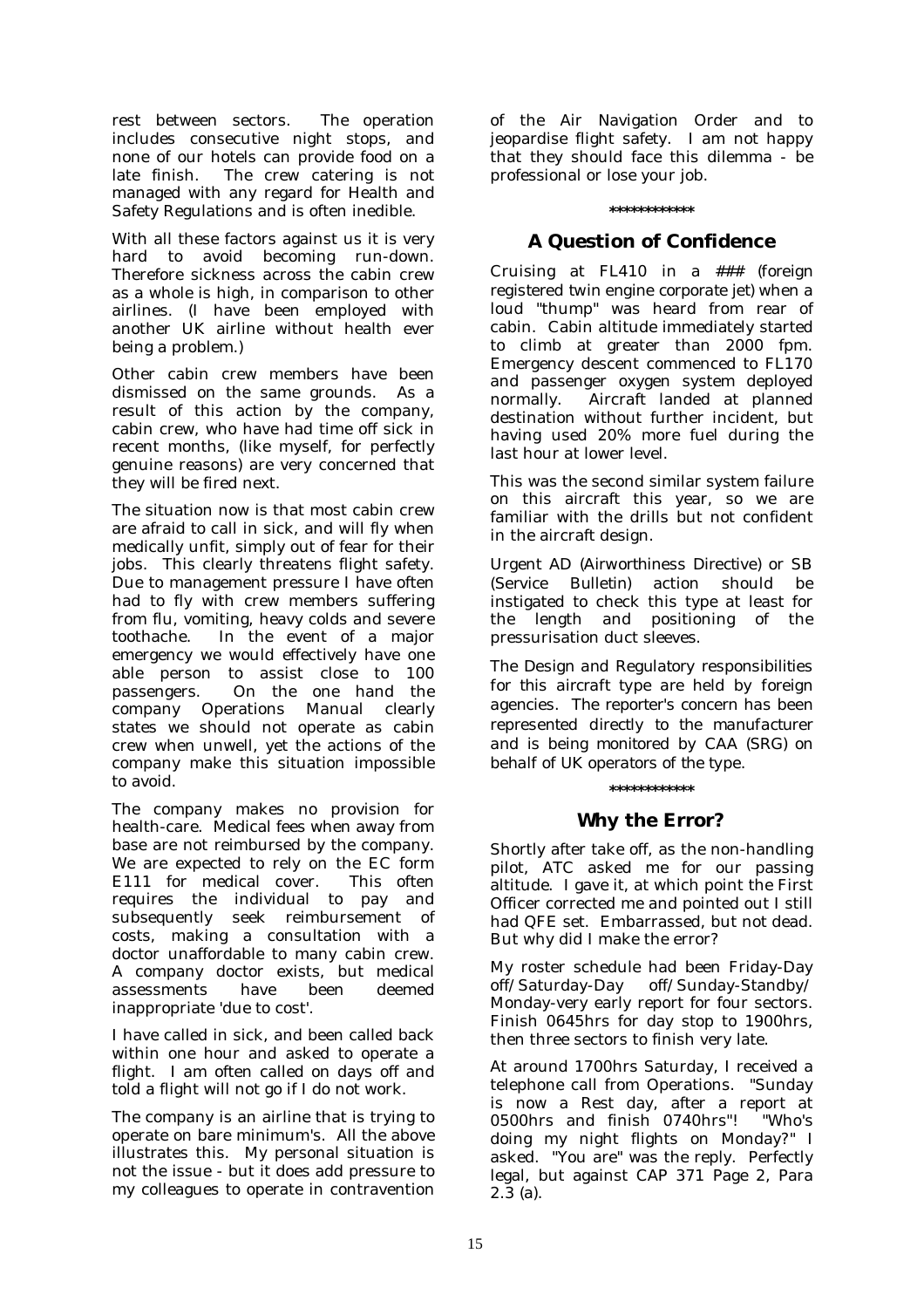rest between sectors. The operation includes consecutive night stops, and none of our hotels can provide food on a late finish. The crew catering is not managed with any regard for Health and Safety Regulations and is often inedible.

With all these factors against us it is very hard to avoid becoming run-down. Therefore sickness across the cabin crew as a whole is high, in comparison to other airlines. (I have been employed with another UK airline without health ever being a problem.)

Other cabin crew members have been dismissed on the same grounds. As a result of this action by the company, cabin crew, who have had time off sick in recent months, (like myself, for perfectly genuine reasons) are very concerned that they will be fired next.

The situation now is that most cabin crew are afraid to call in sick, and will fly when medically unfit, simply out of fear for their jobs. This clearly threatens flight safety. Due to management pressure I have often had to fly with crew members suffering from flu, vomiting, heavy colds and severe toothache. In the event of a major emergency we would effectively have one able person to assist close to 100 passengers. On the one hand the company Operations Manual clearly states we should not operate as cabin crew when unwell, yet the actions of the company make this situation impossible to avoid.

The company makes no provision for health-care. Medical fees when away from base are not reimbursed by the company. We are expected to rely on the EC form E111 for medical cover. This often requires the individual to pay and subsequently seek reimbursement of costs, making a consultation with a doctor unaffordable to many cabin crew. A company doctor exists, but medical assessments have been deemed inappropriate 'due to cost'.

I have called in sick, and been called back within one hour and asked to operate a flight. I am often called on days off and told a flight will not go if I do not work.

The company is an airline that is trying to operate on bare minimum's. All the above illustrates this. My personal situation is not the issue - but it does add pressure to my colleagues to operate in contravention of the Air Navigation Order and to jeopardise flight safety. I am not happy that they should face this dilemma - be professional or lose your job.

### **\*\*\*\*\*\*\*\*\*\*\*\***

# **A Question of Confidence**

Cruising at FL410 in *a ### (foreign registered twin engine corporate jet)* when a loud "thump" was heard from rear of cabin. Cabin altitude immediately started to climb at greater than 2000 fpm. Emergency descent commenced to FL170 and passenger oxygen system deployed normally. Aircraft landed at planned destination without further incident, but having used 20% more fuel during the last hour at lower level.

This was the second similar system failure on this aircraft this year, so we are familiar with the drills but not confident in the aircraft design.

Urgent AD *(Airworthiness Directive)* or SB (*Service Bulletin)* action should be instigated to check this type at least for the length and positioning of the pressurisation duct sleeves.

*The Design and Regulatory responsibilities for this aircraft type are held by foreign agencies. The reporter's concern has been represented directly to the manufacturer and is being monitored by CAA (SRG) on behalf of UK operators of the type.* 

### **\*\*\*\*\*\*\*\*\*\*\*\***

# **Why the Error?**

Shortly after take off, as the non-handling pilot, ATC asked me for our passing altitude. I gave it, at which point the First Officer corrected me and pointed out I still had QFE set. Embarrassed, but not dead. But why did I make the error?

My roster schedule had been Friday-Day off/Saturday-Day off/Sunday-Standby/ Monday-very early report for four sectors. Finish 0645hrs for day stop to 1900hrs, then three sectors to finish very late.

At around 1700hrs Saturday, I received a telephone call from Operations. "Sunday is now a Rest day, after a report at 0500hrs and finish 0740hrs"! "Who's doing my night flights on Monday?" I asked. "You are" was the reply. Perfectly legal, but against CAP 371 Page 2, Para 2.3 (a).